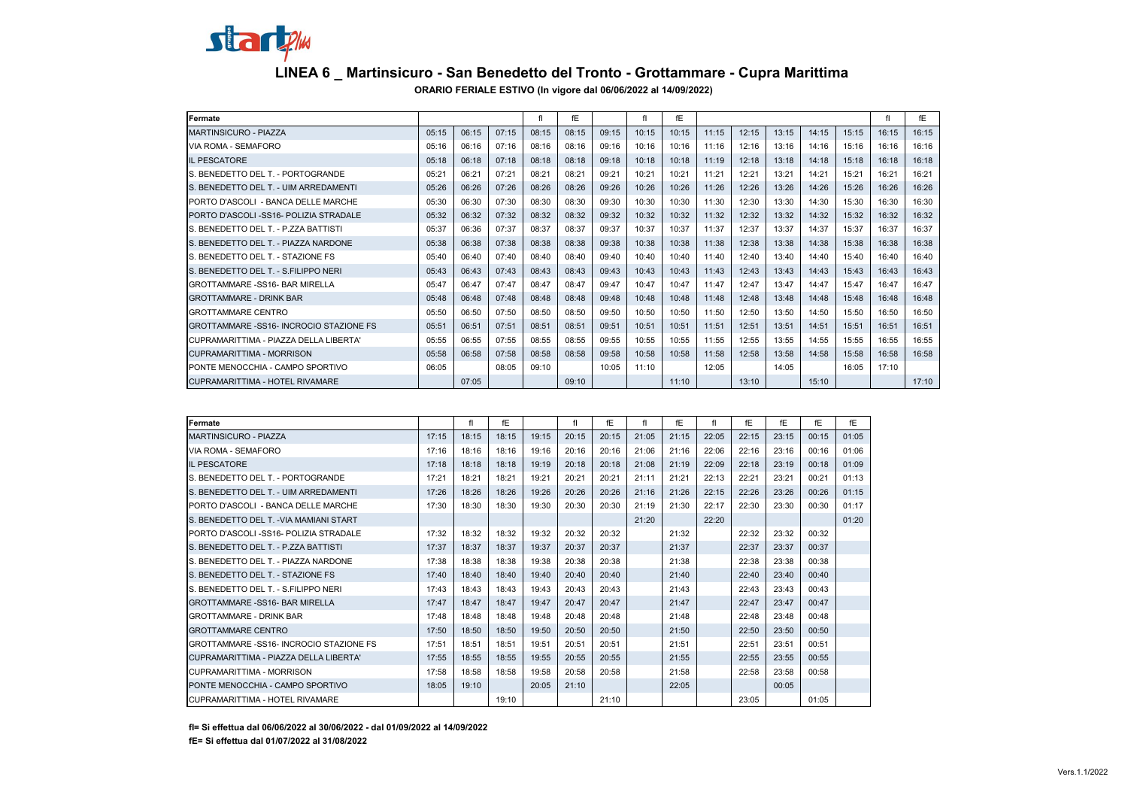

## **LINEA 6 \_ Martinsicuro - San Benedetto del Tronto - Grottammare - Cupra Marittima**

**ORARIO FERIALE ESTIVO (In vigore dal 06/06/2022 al 14/09/2022)**

| Fermate                                  |       |       |       | fl    | fE    |       |       | fE    |       |       |       |       |       | fl    | fE    |
|------------------------------------------|-------|-------|-------|-------|-------|-------|-------|-------|-------|-------|-------|-------|-------|-------|-------|
| <b>MARTINSICURO - PIAZZA</b>             | 05:15 | 06:15 | 07:15 | 08:15 | 08:15 | 09:15 | 10:15 | 10:15 | 11:15 | 12:15 | 13:15 | 14:15 | 15:15 | 16:15 | 16:15 |
| VIA ROMA - SEMAFORO                      | 05:16 | 06:16 | 07:16 | 08:16 | 08:16 | 09:16 | 10:16 | 10:16 | 11:16 | 12:16 | 13:16 | 14:16 | 15:16 | 16:16 | 16:16 |
| <b>IL PESCATORE</b>                      | 05:18 | 06:18 | 07:18 | 08:18 | 08:18 | 09:18 | 10:18 | 10:18 | 11:19 | 12:18 | 13:18 | 14:18 | 15:18 | 16:18 | 16:18 |
| S. BENEDETTO DEL T. - PORTOGRANDE        | 05:21 | 06:21 | 07:21 | 08:21 | 08:21 | 09:21 | 10:21 | 10:21 | 11:21 | 12:21 | 13:21 | 14:21 | 15:21 | 16:21 | 16:21 |
| S. BENEDETTO DEL T. - UIM ARREDAMENTI    | 05:26 | 06:26 | 07:26 | 08:26 | 08:26 | 09:26 | 10:26 | 10:26 | 11:26 | 12:26 | 13:26 | 14:26 | 15:26 | 16:26 | 16:26 |
| PORTO D'ASCOLI - BANCA DELLE MARCHE      | 05:30 | 06:30 | 07:30 | 08:30 | 08:30 | 09:30 | 10:30 | 10:30 | 11:30 | 12:30 | 13:30 | 14:30 | 15:30 | 16:30 | 16:30 |
| PORTO D'ASCOLI-SS16- POLIZIA STRADALE    | 05:32 | 06:32 | 07:32 | 08:32 | 08:32 | 09:32 | 10:32 | 10:32 | 11:32 | 12:32 | 13:32 | 14:32 | 15:32 | 16:32 | 16:32 |
| S. BENEDETTO DEL T. - P.ZZA BATTISTI     | 05:37 | 06:36 | 07:37 | 08:37 | 08:37 | 09:37 | 10:37 | 10:37 | 11:37 | 12:37 | 13:37 | 14:37 | 15:37 | 16:37 | 16:37 |
| S. BENEDETTO DEL T. - PIAZZA NARDONE     | 05:38 | 06:38 | 07:38 | 08:38 | 08:38 | 09:38 | 10:38 | 10:38 | 11:38 | 12:38 | 13:38 | 14:38 | 15:38 | 16:38 | 16:38 |
| S. BENEDETTO DEL T. - STAZIONE FS        | 05:40 | 06:40 | 07:40 | 08:40 | 08:40 | 09:40 | 10:40 | 10:40 | 11:40 | 12:40 | 13:40 | 14:40 | 15:40 | 16:40 | 16:40 |
| S. BENEDETTO DEL T. - S.FILIPPO NERI     | 05:43 | 06:43 | 07:43 | 08:43 | 08:43 | 09:43 | 10:43 | 10:43 | 11:43 | 12:43 | 13:43 | 14:43 | 15:43 | 16:43 | 16:43 |
| <b>GROTTAMMARE -SS16- BAR MIRELLA</b>    | 05:47 | 06:47 | 07:47 | 08:47 | 08:47 | 09:47 | 10:47 | 10:47 | 11:47 | 12:47 | 13:47 | 14:47 | 15:47 | 16:47 | 16:47 |
| <b>GROTTAMMARE - DRINK BAR</b>           | 05:48 | 06:48 | 07:48 | 08:48 | 08:48 | 09:48 | 10:48 | 10:48 | 11:48 | 12:48 | 13:48 | 14:48 | 15:48 | 16:48 | 16:48 |
| <b>GROTTAMMARE CENTRO</b>                | 05:50 | 06:50 | 07:50 | 08:50 | 08:50 | 09:50 | 10:50 | 10:50 | 11:50 | 12:50 | 13:50 | 14:50 | 15:50 | 16:50 | 16:50 |
| GROTTAMMARE -SS16- INCROCIO STAZIONE FS  | 05:51 | 06:51 | 07:51 | 08:51 | 08:51 | 09:51 | 10:51 | 10:51 | 11:51 | 12:51 | 13:51 | 14:51 | 15:51 | 16:51 | 16:51 |
| ICUPRAMARITTIMA - PIAZZA DELLA LIBERTA'  | 05:55 | 06:55 | 07:55 | 08:55 | 08:55 | 09:55 | 10:55 | 10:55 | 11:55 | 12:55 | 13:55 | 14:55 | 15:55 | 16:55 | 16:55 |
| <b>CUPRAMARITTIMA - MORRISON</b>         | 05:58 | 06:58 | 07:58 | 08:58 | 08:58 | 09:58 | 10:58 | 10:58 | 11:58 | 12:58 | 13:58 | 14:58 | 15:58 | 16:58 | 16:58 |
| <b>IPONTE MENOCCHIA - CAMPO SPORTIVO</b> | 06:05 |       | 08:05 | 09:10 |       | 10:05 | 11:10 |       | 12:05 |       | 14:05 |       | 16:05 | 17:10 |       |
| CUPRAMARITTIMA - HOTEL RIVAMARE          |       | 07:05 |       |       | 09:10 |       |       | 11:10 |       | 13:10 |       | 15:10 |       |       | 17:10 |

| Fermate                                 |       | fl    | fE    |       | fl    | fE    | fl    | fE    | fl    | fE    | fE    | fE    | fE    |
|-----------------------------------------|-------|-------|-------|-------|-------|-------|-------|-------|-------|-------|-------|-------|-------|
| <b>MARTINSICURO - PIAZZA</b>            | 17:15 | 18:15 | 18:15 | 19:15 | 20:15 | 20:15 | 21:05 | 21:15 | 22:05 | 22:15 | 23:15 | 00:15 | 01:05 |
| VIA ROMA - SEMAFORO                     | 17:16 | 18:16 | 18:16 | 19:16 | 20:16 | 20:16 | 21:06 | 21:16 | 22:06 | 22:16 | 23:16 | 00:16 | 01:06 |
| <b>IL PESCATORE</b>                     | 17:18 | 18:18 | 18:18 | 19:19 | 20:18 | 20:18 | 21:08 | 21:19 | 22:09 | 22:18 | 23:19 | 00:18 | 01:09 |
| S. BENEDETTO DEL T. - PORTOGRANDE       | 17:21 | 18:21 | 18:21 | 19:21 | 20:21 | 20:21 | 21:11 | 21:21 | 22:13 | 22:21 | 23:21 | 00:21 | 01:13 |
| S. BENEDETTO DEL T. - UIM ARREDAMENTI   | 17:26 | 18:26 | 18:26 | 19:26 | 20:26 | 20:26 | 21:16 | 21:26 | 22:15 | 22:26 | 23:26 | 00:26 | 01:15 |
| PORTO D'ASCOLI - BANCA DELLE MARCHE     | 17:30 | 18:30 | 18:30 | 19:30 | 20:30 | 20:30 | 21:19 | 21:30 | 22:17 | 22:30 | 23:30 | 00:30 | 01:17 |
| S. BENEDETTO DEL T. - VIA MAMIANI START |       |       |       |       |       |       | 21:20 |       | 22:20 |       |       |       | 01:20 |
| PORTO D'ASCOLI -SS16- POLIZIA STRADALE  | 17:32 | 18:32 | 18:32 | 19:32 | 20:32 | 20:32 |       | 21:32 |       | 22:32 | 23:32 | 00:32 |       |
| S. BENEDETTO DEL T. - P.ZZA BATTISTI    | 17:37 | 18:37 | 18:37 | 19:37 | 20:37 | 20:37 |       | 21:37 |       | 22:37 | 23:37 | 00:37 |       |
| S. BENEDETTO DEL T. - PIAZZA NARDONE    | 17:38 | 18:38 | 18:38 | 19:38 | 20:38 | 20:38 |       | 21:38 |       | 22:38 | 23:38 | 00:38 |       |
| S. BENEDETTO DEL T. - STAZIONE FS       | 17:40 | 18:40 | 18:40 | 19:40 | 20:40 | 20:40 |       | 21:40 |       | 22:40 | 23:40 | 00:40 |       |
| S. BENEDETTO DEL T. - S.FILIPPO NERI    | 17:43 | 18:43 | 18:43 | 19:43 | 20:43 | 20:43 |       | 21:43 |       | 22:43 | 23:43 | 00:43 |       |
| GROTTAMMARE -SS16- BAR MIRELLA          | 17:47 | 18:47 | 18:47 | 19:47 | 20:47 | 20:47 |       | 21:47 |       | 22:47 | 23:47 | 00:47 |       |
| <b>GROTTAMMARE - DRINK BAR</b>          | 17:48 | 18:48 | 18:48 | 19:48 | 20:48 | 20:48 |       | 21:48 |       | 22:48 | 23:48 | 00:48 |       |
| <b>GROTTAMMARE CENTRO</b>               | 17:50 | 18:50 | 18:50 | 19:50 | 20:50 | 20:50 |       | 21:50 |       | 22:50 | 23:50 | 00:50 |       |
| GROTTAMMARE -SS16- INCROCIO STAZIONE FS | 17:51 | 18:51 | 18:51 | 19:51 | 20:51 | 20:51 |       | 21:51 |       | 22:51 | 23:51 | 00:51 |       |
| CUPRAMARITTIMA - PIAZZA DELLA LIBERTA'  | 17:55 | 18:55 | 18:55 | 19:55 | 20:55 | 20:55 |       | 21:55 |       | 22:55 | 23:55 | 00:55 |       |
| <b>CUPRAMARITTIMA - MORRISON</b>        | 17:58 | 18:58 | 18:58 | 19:58 | 20:58 | 20:58 |       | 21:58 |       | 22:58 | 23:58 | 00:58 |       |
| PONTE MENOCCHIA - CAMPO SPORTIVO        | 18:05 | 19:10 |       | 20:05 | 21:10 |       |       | 22:05 |       |       | 00:05 |       |       |
| ICUPRAMARITTIMA - HOTEL RIVAMARE        |       |       | 19:10 |       |       | 21:10 |       |       |       | 23:05 |       | 01:05 |       |

**fI= Si effettua dal 06/06/2022 al 30/06/2022 - dal 01/09/2022 al 14/09/2022**

**fE= Si effettua dal 01/07/2022 al 31/08/2022**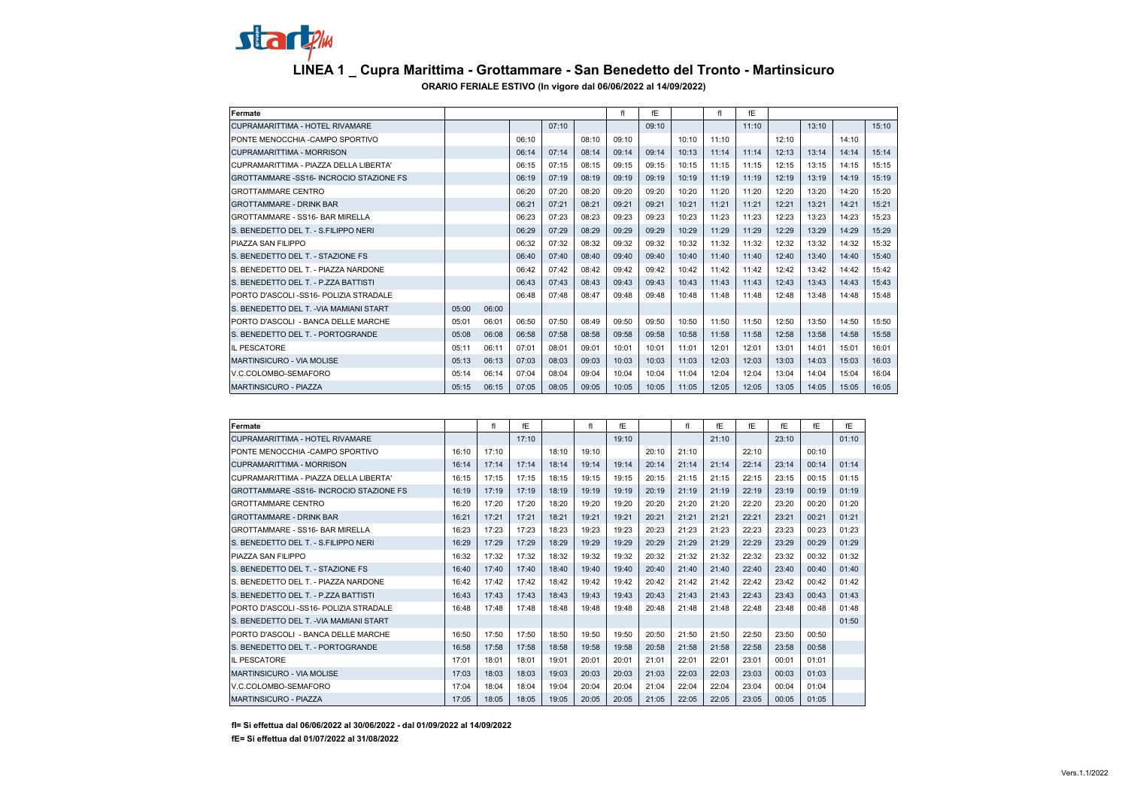## startem **LINEA 1 \_ Cupra Marittima - Grottammare - San Benedetto del Tronto - Martinsicuro ORARIO FERIALE ESTIVO (In vigore dal 06/06/2022 al 14/09/2022)**

| Fermate                                        |       |       |       |       |       | fl    | fE    |       | fl    | fE    |       |       |       |       |  |  |
|------------------------------------------------|-------|-------|-------|-------|-------|-------|-------|-------|-------|-------|-------|-------|-------|-------|--|--|
| <b>CUPRAMARITTIMA - HOTEL RIVAMARE</b>         |       |       |       | 07:10 |       |       | 09:10 |       |       | 11:10 |       | 13:10 |       | 15:10 |  |  |
| PONTE MENOCCHIA - CAMPO SPORTIVO               |       |       | 06:10 |       | 08:10 | 09:10 |       | 10:10 | 11:10 |       | 12:10 |       | 14:10 |       |  |  |
| CUPRAMARITTIMA - MORRISON                      |       |       | 06:14 | 07:14 | 08:14 | 09:14 | 09:14 | 10:13 | 11:14 | 11:14 | 12:13 | 13:14 | 14:14 | 15:14 |  |  |
| CUPRAMARITTIMA - PIAZZA DELLA LIBERTA'         |       |       | 06:15 | 07:15 | 08:15 | 09:15 | 09:15 | 10:15 | 11:15 | 11:15 | 12:15 | 13:15 | 14:15 | 15:15 |  |  |
| <b>GROTTAMMARE -SS16- INCROCIO STAZIONE FS</b> |       |       | 06:19 | 07:19 | 08:19 | 09:19 | 09:19 | 10:19 | 11:19 | 11:19 | 12:19 | 13:19 | 14:19 | 15:19 |  |  |
| <b>GROTTAMMARE CENTRO</b>                      |       |       | 06:20 | 07:20 | 08:20 | 09:20 | 09:20 | 10:20 | 11:20 | 11:20 | 12:20 | 13:20 | 14:20 | 15:20 |  |  |
| <b>GROTTAMMARE - DRINK BAR</b>                 |       |       | 06:21 | 07:21 | 08:21 | 09:21 | 09:21 | 10:21 | 11:21 | 11:21 | 12:21 | 13:21 | 14:21 | 15:21 |  |  |
| GROTTAMMARE - SS16- BAR MIRELLA                |       |       | 06:23 | 07:23 | 08:23 | 09:23 | 09:23 | 10:23 | 11:23 | 11:23 | 12:23 | 13:23 | 14:23 | 15:23 |  |  |
| S. BENEDETTO DEL T. - S.FILIPPO NERI           |       |       | 06:29 | 07:29 | 08:29 | 09:29 | 09:29 | 10:29 | 11:29 | 11:29 | 12:29 | 13:29 | 14:29 | 15:29 |  |  |
| PIAZZA SAN FILIPPO                             |       |       | 06:32 | 07:32 | 08:32 | 09:32 | 09:32 | 10:32 | 11:32 | 11:32 | 12:32 | 13:32 | 14:32 | 15:32 |  |  |
| S. BENEDETTO DEL T. - STAZIONE FS.             |       |       | 06:40 | 07:40 | 08:40 | 09:40 | 09:40 | 10:40 | 11:40 | 11:40 | 12:40 | 13:40 | 14:40 | 15:40 |  |  |
| S. BENEDETTO DEL T. - PIAZZA NARDONE           |       |       | 06:42 | 07:42 | 08:42 | 09:42 | 09:42 | 10:42 | 11:42 | 11:42 | 12:42 | 13:42 | 14:42 | 15:42 |  |  |
| S. BENEDETTO DEL T. - P.ZZA BATTISTI           |       |       | 06:43 | 07:43 | 08:43 | 09:43 | 09:43 | 10:43 | 11:43 | 11:43 | 12:43 | 13:43 | 14:43 | 15:43 |  |  |
| PORTO D'ASCOLI-SS16- POLIZIA STRADALE          |       |       | 06:48 | 07:48 | 08:47 | 09:48 | 09:48 | 10:48 | 11:48 | 11:48 | 12:48 | 13:48 | 14:48 | 15:48 |  |  |
| S. BENEDETTO DEL T. - VIA MAMIANI START        | 05:00 | 06:00 |       |       |       |       |       |       |       |       |       |       |       |       |  |  |
| PORTO D'ASCOLI - BANCA DELLE MARCHE            | 05:01 | 06:01 | 06:50 | 07:50 | 08:49 | 09:50 | 09:50 | 10:50 | 11:50 | 11:50 | 12:50 | 13:50 | 14:50 | 15:50 |  |  |
| S. BENEDETTO DEL T. - PORTOGRANDE              | 05:08 | 06:08 | 06:58 | 07:58 | 08:58 | 09:58 | 09:58 | 10:58 | 11:58 | 11:58 | 12:58 | 13:58 | 14:58 | 15:58 |  |  |
| <b>IL PESCATORE</b>                            | 05:11 | 06:11 | 07:01 | 08:01 | 09:01 | 10:01 | 10:01 | 11:01 | 12:01 | 12:01 | 13:01 | 14:01 | 15:01 | 16:01 |  |  |
| MARTINSICURO - VIA MOLISE                      | 05:13 | 06:13 | 07:03 | 08:03 | 09:03 | 10:03 | 10:03 | 11:03 | 12:03 | 12:03 | 13:03 | 14:03 | 15:03 | 16:03 |  |  |
| V.C.COLOMBO-SEMAFORO                           | 05:14 | 06:14 | 07:04 | 08:04 | 09:04 | 10:04 | 10:04 | 11:04 | 12:04 | 12:04 | 13:04 | 14:04 | 15:04 | 16:04 |  |  |
| <b>MARTINSICURO - PIAZZA</b>                   | 05:15 | 06:15 | 07:05 | 08:05 | 09:05 | 10:05 | 10:05 | 11:05 | 12:05 | 12:05 | 13:05 | 14:05 | 15:05 | 16:05 |  |  |

| Fermate                                      |       | fl    | fE    |       | fl    | fE    |       | fl    | fE    | fE    | fE    | fE    | fE    |
|----------------------------------------------|-------|-------|-------|-------|-------|-------|-------|-------|-------|-------|-------|-------|-------|
| CUPRAMARITTIMA - HOTEL RIVAMARE              |       |       | 17:10 |       |       | 19:10 |       |       | 21:10 |       | 23:10 |       | 01:10 |
| PONTE MENOCCHIA -CAMPO SPORTIVO              | 16:10 | 17:10 |       | 18:10 | 19:10 |       | 20:10 | 21:10 |       | 22:10 |       | 00:10 |       |
| CUPRAMARITTIMA - MORRISON                    | 16:14 | 17:14 | 17:14 | 18:14 | 19:14 | 19:14 | 20:14 | 21:14 | 21:14 | 22:14 | 23:14 | 00:14 | 01:14 |
| CUPRAMARITTIMA - PIAZZA DELLA LIBERTA'       | 16:15 | 17:15 | 17:15 | 18:15 | 19:15 | 19:15 | 20:15 | 21:15 | 21:15 | 22:15 | 23:15 | 00:15 | 01:15 |
| GROTTAMMARE -SS16- INCROCIO STAZIONE FS      | 16:19 | 17:19 | 17:19 | 18:19 | 19:19 | 19:19 | 20:19 | 21:19 | 21:19 | 22:19 | 23:19 | 00:19 | 01:19 |
| <b>GROTTAMMARE CENTRO</b>                    | 16:20 | 17:20 | 17:20 | 18:20 | 19:20 | 19:20 | 20:20 | 21:20 | 21:20 | 22:20 | 23:20 | 00:20 | 01:20 |
| <b>GROTTAMMARE - DRINK BAR</b>               | 16:21 | 17:21 | 17:21 | 18:21 | 19:21 | 19:21 | 20:21 | 21:21 | 21:21 | 22:21 | 23:21 | 00:21 | 01:21 |
| <b>GROTTAMMARE - SS16- BAR MIRELLA</b>       | 16:23 | 17:23 | 17:23 | 18:23 | 19:23 | 19:23 | 20:23 | 21:23 | 21:23 | 22:23 | 23:23 | 00:23 | 01:23 |
| S. BENEDETTO DEL T. - S.FILIPPO NERI         | 16:29 | 17:29 | 17:29 | 18:29 | 19:29 | 19:29 | 20:29 | 21:29 | 21:29 | 22:29 | 23:29 | 00:29 | 01:29 |
| PIAZZA SAN FILIPPO                           | 16:32 | 17:32 | 17:32 | 18:32 | 19:32 | 19:32 | 20:32 | 21:32 | 21:32 | 22:32 | 23:32 | 00:32 | 01:32 |
| S. BENEDETTO DEL T. - STAZIONE FS.           | 16:40 | 17:40 | 17:40 | 18:40 | 19:40 | 19:40 | 20:40 | 21:40 | 21:40 | 22:40 | 23:40 | 00:40 | 01:40 |
| S. BENEDETTO DEL T. - PIAZZA NARDONE         | 16:42 | 17:42 | 17:42 | 18:42 | 19:42 | 19:42 | 20:42 | 21:42 | 21:42 | 22:42 | 23:42 | 00:42 | 01:42 |
| S. BENEDETTO DEL T. - P.ZZA BATTISTI         | 16:43 | 17:43 | 17:43 | 18:43 | 19:43 | 19:43 | 20:43 | 21:43 | 21:43 | 22:43 | 23:43 | 00:43 | 01:43 |
| <b>PORTO D'ASCOLI-SS16- POLIZIA STRADALE</b> | 16:48 | 17:48 | 17:48 | 18:48 | 19:48 | 19:48 | 20:48 | 21:48 | 21:48 | 22:48 | 23:48 | 00:48 | 01:48 |
| S. BENEDETTO DEL T. - VIA MAMIANI START      |       |       |       |       |       |       |       |       |       |       |       |       | 01:50 |
| PORTO D'ASCOLI - BANCA DELLE MARCHE          | 16:50 | 17:50 | 17:50 | 18:50 | 19:50 | 19:50 | 20:50 | 21:50 | 21:50 | 22:50 | 23:50 | 00:50 |       |
| S. BENEDETTO DEL T. - PORTOGRANDE            | 16:58 | 17:58 | 17:58 | 18:58 | 19:58 | 19:58 | 20:58 | 21:58 | 21:58 | 22:58 | 23:58 | 00:58 |       |
| <b>IL PESCATORE</b>                          | 17:01 | 18:01 | 18:01 | 19:01 | 20:01 | 20:01 | 21:01 | 22:01 | 22:01 | 23:01 | 00:01 | 01:01 |       |
| MARTINSICURO - VIA MOLISE                    | 17:03 | 18:03 | 18:03 | 19:03 | 20:03 | 20:03 | 21:03 | 22:03 | 22:03 | 23:03 | 00:03 | 01:03 |       |
| V.C.COLOMBO-SEMAFORO                         | 17:04 | 18:04 | 18:04 | 19:04 | 20:04 | 20:04 | 21:04 | 22:04 | 22:04 | 23:04 | 00:04 | 01:04 |       |
| <b>MARTINSICURO - PIAZZA</b>                 | 17:05 | 18:05 | 18:05 | 19:05 | 20:05 | 20:05 | 21:05 | 22:05 | 22:05 | 23:05 | 00:05 | 01:05 |       |

**fI= Si effettua dal 06/06/2022 al 30/06/2022 - dal 01/09/2022 al 14/09/2022**

**fE= Si effettua dal 01/07/2022 al 31/08/2022**